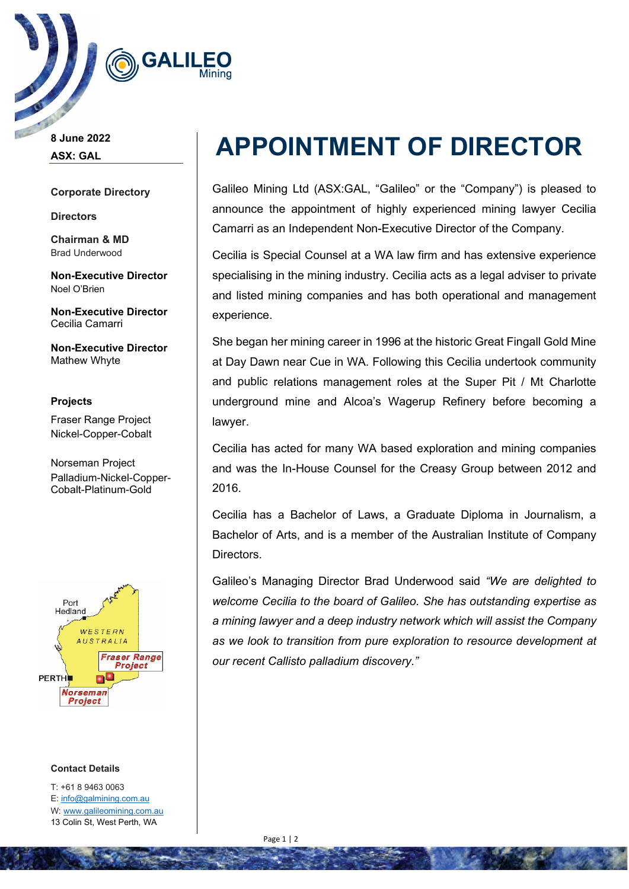

**8 June 2022 ASX: GAL**

## **Corporate Directory**

**Directors**

**Chairman & MD** Brad Underwood

**Non-Executive Director** Noel O'Brien

**Non-Executive Director** Cecilia Camarri

**Non-Executive Director** Mathew Whyte

**Projects** Fraser Range Project Nickel-Copper-Cobalt

Norseman Project Palladium-Nickel-Copper-Cobalt-Platinum-Gold



## **Contact Details**

T: +61 8 9463 0063 E[: info@galmining.com.au](mailto:info@galmining.com.au) W: [www.galileomining.com.au](http://www.galileomining.com.au/) 13 Colin St, West Perth, WA

# **APPOINTMENT OF DIRECTOR**

Galileo Mining Ltd (ASX:GAL, "Galileo" or the "Company") is pleased to announce the appointment of highly experienced mining lawyer Cecilia Camarri as an Independent Non-Executive Director of the Company.

Cecilia is Special Counsel at a WA law firm and has extensive experience specialising in the mining industry. Cecilia acts as a legal adviser to private and listed mining companies and has both operational and management experience.

She began her mining career in 1996 at the historic Great Fingall Gold Mine at Day Dawn near Cue in WA. Following this Cecilia undertook community and public relations management roles at the Super Pit / Mt Charlotte underground mine and Alcoa's Wagerup Refinery before becoming a lawyer.

Cecilia has acted for many WA based exploration and mining companies and was the In-House Counsel for the Creasy Group between 2012 and 2016.

Cecilia has a Bachelor of Laws, a Graduate Diploma in Journalism, a Bachelor of Arts, and is a member of the Australian Institute of Company Directors.

Galileo's Managing Director Brad Underwood said *"We are delighted to welcome Cecilia to the board of Galileo. She has outstanding expertise as a mining lawyer and a deep industry network which will assist the Company as we look to transition from pure exploration to resource development at our recent Callisto palladium discovery."*